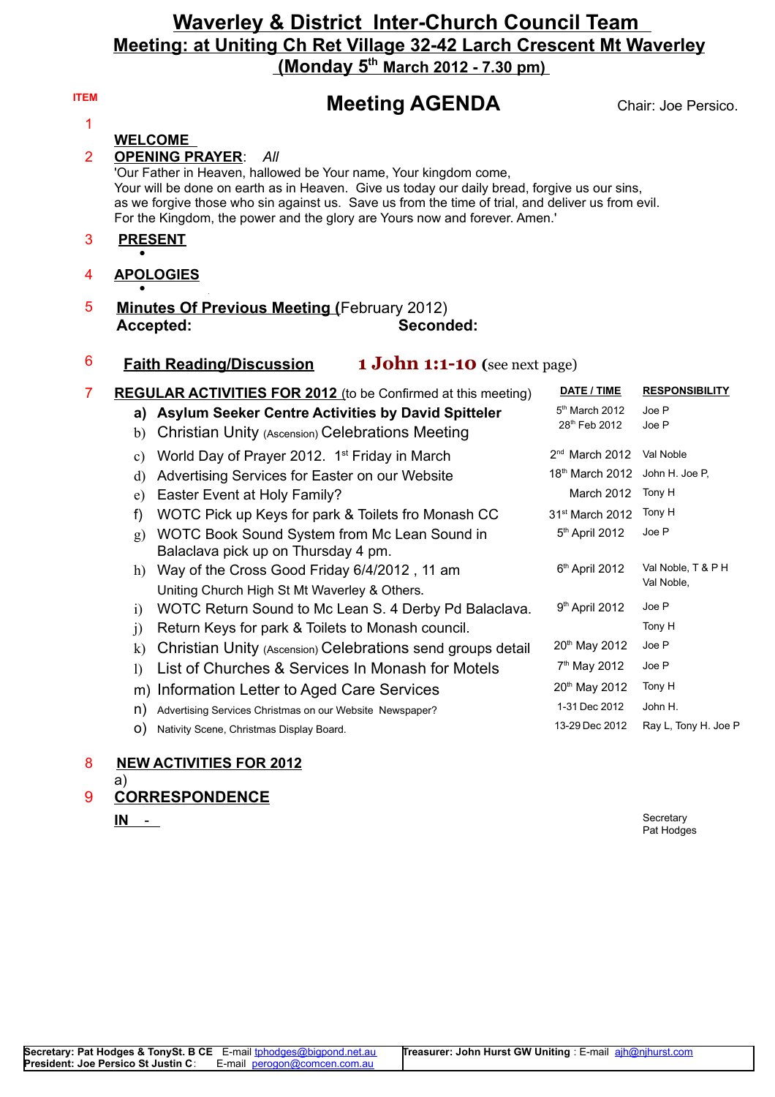### **Waverley & District Inter-Church Council Team Meeting: at Uniting Ch Ret Village 32-42 Larch Crescent Mt Waverley (Monday 5th March 2012 - 7.30 pm)**

|                                                                                                                                                                                                                                                                                                                                                                                                                                                                                                                                                                                                                                                                                                                                                                                                                                                                                                                                                                                                                                                            |                                                                                                                                                                                                                                                                                                                                                            | Chair: Joe Persico.                                                                                                                                                                                     |
|------------------------------------------------------------------------------------------------------------------------------------------------------------------------------------------------------------------------------------------------------------------------------------------------------------------------------------------------------------------------------------------------------------------------------------------------------------------------------------------------------------------------------------------------------------------------------------------------------------------------------------------------------------------------------------------------------------------------------------------------------------------------------------------------------------------------------------------------------------------------------------------------------------------------------------------------------------------------------------------------------------------------------------------------------------|------------------------------------------------------------------------------------------------------------------------------------------------------------------------------------------------------------------------------------------------------------------------------------------------------------------------------------------------------------|---------------------------------------------------------------------------------------------------------------------------------------------------------------------------------------------------------|
|                                                                                                                                                                                                                                                                                                                                                                                                                                                                                                                                                                                                                                                                                                                                                                                                                                                                                                                                                                                                                                                            |                                                                                                                                                                                                                                                                                                                                                            |                                                                                                                                                                                                         |
| $\overline{2}$<br><b>OPENING PRAYER:</b><br>All<br>'Our Father in Heaven, hallowed be Your name, Your kingdom come,<br>Your will be done on earth as in Heaven. Give us today our daily bread, forgive us our sins,<br>as we forgive those who sin against us. Save us from the time of trial, and deliver us from evil.<br>For the Kingdom, the power and the glory are Yours now and forever. Amen.'                                                                                                                                                                                                                                                                                                                                                                                                                                                                                                                                                                                                                                                     |                                                                                                                                                                                                                                                                                                                                                            |                                                                                                                                                                                                         |
| <b>PRESENT</b>                                                                                                                                                                                                                                                                                                                                                                                                                                                                                                                                                                                                                                                                                                                                                                                                                                                                                                                                                                                                                                             |                                                                                                                                                                                                                                                                                                                                                            |                                                                                                                                                                                                         |
| <b>APOLOGIES</b>                                                                                                                                                                                                                                                                                                                                                                                                                                                                                                                                                                                                                                                                                                                                                                                                                                                                                                                                                                                                                                           |                                                                                                                                                                                                                                                                                                                                                            |                                                                                                                                                                                                         |
| 5<br><b>Minutes Of Previous Meeting (February 2012)</b><br>Seconded:<br>Accepted:                                                                                                                                                                                                                                                                                                                                                                                                                                                                                                                                                                                                                                                                                                                                                                                                                                                                                                                                                                          |                                                                                                                                                                                                                                                                                                                                                            |                                                                                                                                                                                                         |
| 6<br><b>1 John 1:1-10</b> (see next page)<br><b>Faith Reading/Discussion</b>                                                                                                                                                                                                                                                                                                                                                                                                                                                                                                                                                                                                                                                                                                                                                                                                                                                                                                                                                                               |                                                                                                                                                                                                                                                                                                                                                            |                                                                                                                                                                                                         |
| <b>REGULAR ACTIVITIES FOR 2012</b> (to be Confirmed at this meeting)<br>a) Asylum Seeker Centre Activities by David Spitteler<br><b>Christian Unity (Ascension) Celebrations Meeting</b><br>b)<br>c) World Day of Prayer 2012. $1st$ Friday in March<br>d) Advertising Services for Easter on our Website<br>e) Easter Event at Holy Family?<br>WOTC Pick up Keys for park & Toilets fro Monash CC<br>f)<br>g) WOTC Book Sound System from Mc Lean Sound in<br>Balaclava pick up on Thursday 4 pm.<br>h) Way of the Cross Good Friday 6/4/2012, 11 am<br>Uniting Church High St Mt Waverley & Others.<br>WOTC Return Sound to Mc Lean S. 4 Derby Pd Balaclava.<br>$\mathbf{i}$<br>Return Keys for park & Toilets to Monash council.<br>$\ddot{1}$<br>k) Christian Unity (Ascension) Celebrations send groups detail<br>List of Churches & Services In Monash for Motels<br>$\mathbf{D}$<br>m) Information Letter to Aged Care Services<br>Advertising Services Christmas on our Website Newspaper?<br>n)<br>Nativity Scene, Christmas Display Board.<br>O) | DATE / TIME<br>5 <sup>th</sup> March 2012<br>28th Feb 2012<br>$2nd$ March 2012<br>18th March 2012 John H. Joe P,<br>March 2012<br>31 <sup>st</sup> March 2012<br>5 <sup>th</sup> April 2012<br>6th April 2012<br>$9th$ April 2012<br>20 <sup>th</sup> May 2012<br>7 <sup>th</sup> May 2012<br>20 <sup>th</sup> May 2012<br>1-31 Dec 2012<br>13-29 Dec 2012 | <b>RESPONSIBILITY</b><br>Joe P<br>Joe P<br>Val Noble<br>Tony H<br>Tony H<br>Joe P<br>Val Noble, T & P H<br>Val Noble,<br>Joe P<br>Tony H<br>Joe P<br>Joe P<br>Tony H<br>John H.<br>Ray L, Tony H. Joe P |
|                                                                                                                                                                                                                                                                                                                                                                                                                                                                                                                                                                                                                                                                                                                                                                                                                                                                                                                                                                                                                                                            | <b>Meeting AGENDA</b><br><b>WELCOME</b>                                                                                                                                                                                                                                                                                                                    |                                                                                                                                                                                                         |

#### 8 **NEW ACTIVITIES FOR 2012**

- a)
- 9 **CORRESPONDENCE**

**IN** - Secretary Pat Hodges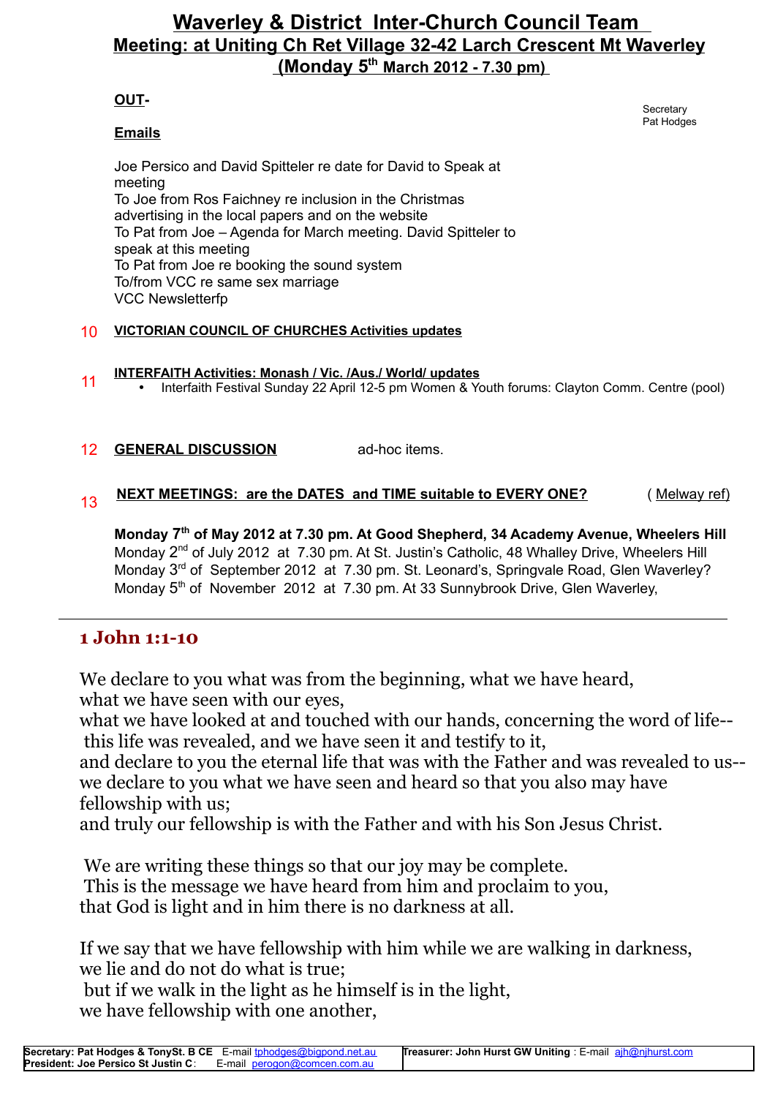# **Waverley & District Inter-Church Council Team Meeting: at Uniting Ch Ret Village 32-42 Larch Crescent Mt Waverley (Monday 5th March 2012 - 7.30 pm)**

### **OUT-**

#### **Emails**

Joe Persico and David Spitteler re date for David to Speak at meeting To Joe from Ros Faichney re inclusion in the Christmas advertising in the local papers and on the website To Pat from Joe – Agenda for March meeting. David Spitteler to speak at this meeting To Pat from Joe re booking the sound system To/from VCC re same sex marriage VCC Newsletterfp

#### 10 **VICTORIAN COUNCIL OF CHURCHES Activities updates**

# <sup>11</sup> **INTERFAITH Activities: Monash / Vic. /Aus./ World/ updates**

- Interfaith Festival Sunday 22 April 12-5 pm Women & Youth forums: Clayton Comm. Centre (pool)
- 12 **GENERAL DISCUSSION** ad-hoc items.

# 13 **NEXT MEETINGS: are the DATES and TIME suitable to EVERY ONE?** (Melway ref)

**Monday 7 th of May 2012 at 7.30 pm. At Good Shepherd, 34 Academy Avenue, Wheelers Hill** Monday 2<sup>nd</sup> of July 2012 at 7.30 pm. At St. Justin's Catholic, 48 Whalley Drive, Wheelers Hill Monday 3<sup>rd</sup> of September 2012 at 7.30 pm. St. Leonard's, Springvale Road, Glen Waverley? Monday 5<sup>th</sup> of November 2012 at 7.30 pm. At 33 Sunnybrook Drive, Glen Waverley,

## **1 John 1:1-10**

We declare to you what was from the beginning, what we have heard, what we have seen with our eyes,

what we have looked at and touched with our hands, concerning the word of life-this life was revealed, and we have seen it and testify to it,

and declare to you the eternal life that was with the Father and was revealed to us- we declare to you what we have seen and heard so that you also may have fellowship with us;

and truly our fellowship is with the Father and with his Son Jesus Christ.

We are writing these things so that our joy may be complete. This is the message we have heard from him and proclaim to you, that God is light and in him there is no darkness at all.

If we say that we have fellowship with him while we are walking in darkness, we lie and do not do what is true;

 but if we walk in the light as he himself is in the light, we have fellowship with one another,

**Secretary** Pat Hodges